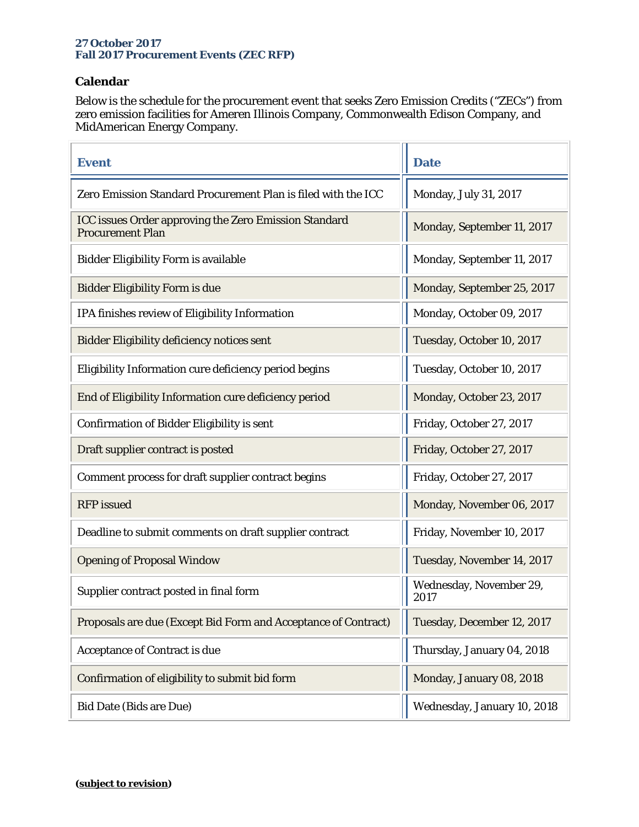## **27 October 2017 Fall 2017 Procurement Events (ZEC RFP)**

## **Calendar**

Below is the schedule for the procurement event that seeks Zero Emission Credits ("ZECs") from zero emission facilities for Ameren Illinois Company, Commonwealth Edison Company, and MidAmerican Energy Company.

ž.

| <b>Event</b>                                                                            | <b>Date</b>                     |
|-----------------------------------------------------------------------------------------|---------------------------------|
| Zero Emission Standard Procurement Plan is filed with the ICC                           | Monday, July 31, 2017           |
| <b>ICC issues Order approving the Zero Emission Standard</b><br><b>Procurement Plan</b> | Monday, September 11, 2017      |
| <b>Bidder Eligibility Form is available</b>                                             | Monday, September 11, 2017      |
| <b>Bidder Eligibility Form is due</b>                                                   | Monday, September 25, 2017      |
| IPA finishes review of Eligibility Information                                          | Monday, October 09, 2017        |
| <b>Bidder Eligibility deficiency notices sent</b>                                       | Tuesday, October 10, 2017       |
| Eligibility Information cure deficiency period begins                                   | Tuesday, October 10, 2017       |
| End of Eligibility Information cure deficiency period                                   | Monday, October 23, 2017        |
| <b>Confirmation of Bidder Eligibility is sent</b>                                       | Friday, October 27, 2017        |
| Draft supplier contract is posted                                                       | Friday, October 27, 2017        |
| Comment process for draft supplier contract begins                                      | Friday, October 27, 2017        |
| <b>RFP</b> issued                                                                       | Monday, November 06, 2017       |
| Deadline to submit comments on draft supplier contract                                  | Friday, November 10, 2017       |
| <b>Opening of Proposal Window</b>                                                       | Tuesday, November 14, 2017      |
| Supplier contract posted in final form                                                  | Wednesday, November 29,<br>2017 |
| Proposals are due (Except Bid Form and Acceptance of Contract)                          | Tuesday, December 12, 2017      |
| <b>Acceptance of Contract is due</b>                                                    | Thursday, January 04, 2018      |
| Confirmation of eligibility to submit bid form                                          | Monday, January 08, 2018        |
| <b>Bid Date (Bids are Due)</b>                                                          | Wednesday, January 10, 2018     |